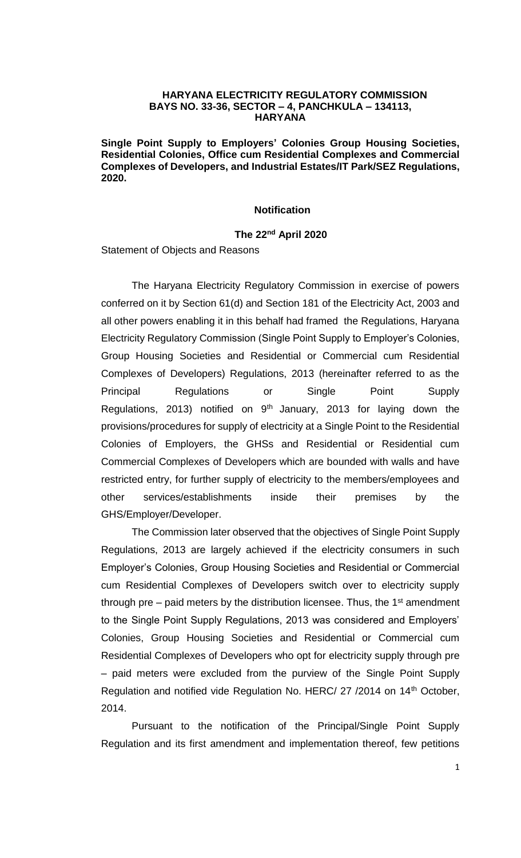#### **HARYANA ELECTRICITY REGULATORY COMMISSION BAYS NO. 33-36, SECTOR – 4, PANCHKULA – 134113, HARYANA**

**Single Point Supply to Employers' Colonies Group Housing Societies, Residential Colonies, Office cum Residential Complexes and Commercial Complexes of Developers, and Industrial Estates/IT Park/SEZ Regulations, 2020.**

#### **Notification**

#### **The 22nd April 2020**

Statement of Objects and Reasons

The Haryana Electricity Regulatory Commission in exercise of powers conferred on it by Section 61(d) and Section 181 of the Electricity Act, 2003 and all other powers enabling it in this behalf had framed the Regulations, Haryana Electricity Regulatory Commission (Single Point Supply to Employer's Colonies, Group Housing Societies and Residential or Commercial cum Residential Complexes of Developers) Regulations, 2013 (hereinafter referred to as the Principal Regulations or Single Point Supply Regulations, 2013) notified on  $9<sup>th</sup>$  January, 2013 for laying down the provisions/procedures for supply of electricity at a Single Point to the Residential Colonies of Employers, the GHSs and Residential or Residential cum Commercial Complexes of Developers which are bounded with walls and have restricted entry, for further supply of electricity to the members/employees and other services/establishments inside their premises by the GHS/Employer/Developer.

The Commission later observed that the objectives of Single Point Supply Regulations, 2013 are largely achieved if the electricity consumers in such Employer's Colonies, Group Housing Societies and Residential or Commercial cum Residential Complexes of Developers switch over to electricity supply through pre – paid meters by the distribution licensee. Thus, the  $1<sup>st</sup>$  amendment to the Single Point Supply Regulations, 2013 was considered and Employers' Colonies, Group Housing Societies and Residential or Commercial cum Residential Complexes of Developers who opt for electricity supply through pre – paid meters were excluded from the purview of the Single Point Supply Regulation and notified vide Regulation No. HERC/ 27 / 2014 on 14<sup>th</sup> October, 2014.

Pursuant to the notification of the Principal/Single Point Supply Regulation and its first amendment and implementation thereof, few petitions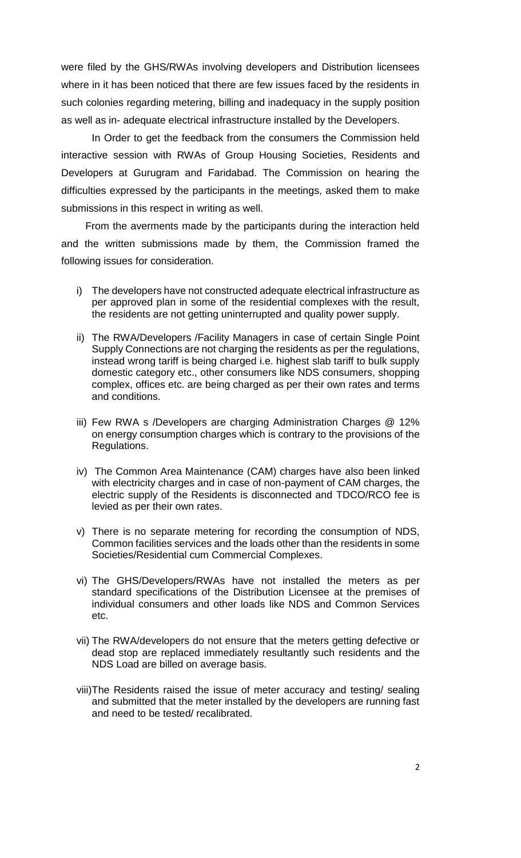were filed by the GHS/RWAs involving developers and Distribution licensees where in it has been noticed that there are few issues faced by the residents in such colonies regarding metering, billing and inadequacy in the supply position as well as in- adequate electrical infrastructure installed by the Developers.

In Order to get the feedback from the consumers the Commission held interactive session with RWAs of Group Housing Societies, Residents and Developers at Gurugram and Faridabad. The Commission on hearing the difficulties expressed by the participants in the meetings, asked them to make submissions in this respect in writing as well.

From the averments made by the participants during the interaction held and the written submissions made by them, the Commission framed the following issues for consideration.

- i) The developers have not constructed adequate electrical infrastructure as per approved plan in some of the residential complexes with the result, the residents are not getting uninterrupted and quality power supply.
- ii) The RWA/Developers /Facility Managers in case of certain Single Point Supply Connections are not charging the residents as per the regulations, instead wrong tariff is being charged i.e. highest slab tariff to bulk supply domestic category etc., other consumers like NDS consumers, shopping complex, offices etc. are being charged as per their own rates and terms and conditions.
- iii) Few RWA s /Developers are charging Administration Charges @ 12% on energy consumption charges which is contrary to the provisions of the Regulations.
- iv) The Common Area Maintenance (CAM) charges have also been linked with electricity charges and in case of non-payment of CAM charges, the electric supply of the Residents is disconnected and TDCO/RCO fee is levied as per their own rates.
- v) There is no separate metering for recording the consumption of NDS, Common facilities services and the loads other than the residents in some Societies/Residential cum Commercial Complexes.
- vi) The GHS/Developers/RWAs have not installed the meters as per standard specifications of the Distribution Licensee at the premises of individual consumers and other loads like NDS and Common Services etc.
- vii) The RWA/developers do not ensure that the meters getting defective or dead stop are replaced immediately resultantly such residents and the NDS Load are billed on average basis.
- viii)The Residents raised the issue of meter accuracy and testing/ sealing and submitted that the meter installed by the developers are running fast and need to be tested/ recalibrated.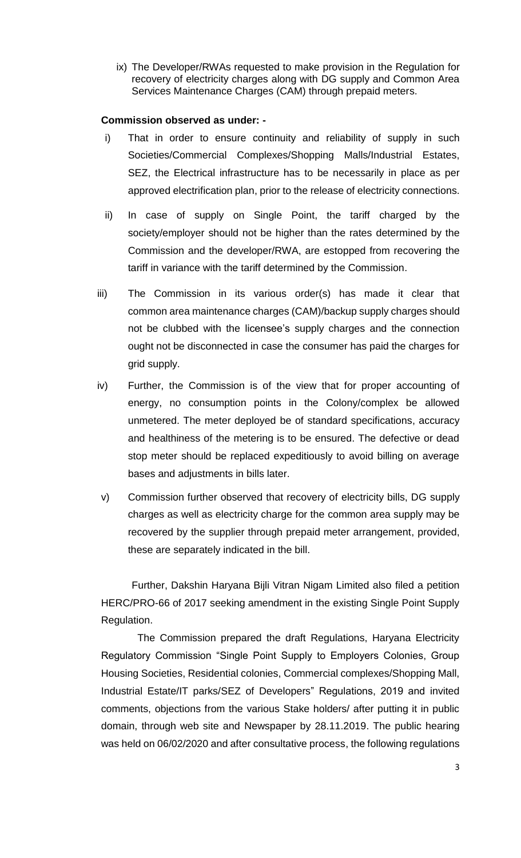ix) The Developer/RWAs requested to make provision in the Regulation for recovery of electricity charges along with DG supply and Common Area Services Maintenance Charges (CAM) through prepaid meters.

### **Commission observed as under: -**

- i) That in order to ensure continuity and reliability of supply in such Societies/Commercial Complexes/Shopping Malls/Industrial Estates, SEZ, the Electrical infrastructure has to be necessarily in place as per approved electrification plan, prior to the release of electricity connections.
- ii) In case of supply on Single Point, the tariff charged by the society/employer should not be higher than the rates determined by the Commission and the developer/RWA, are estopped from recovering the tariff in variance with the tariff determined by the Commission.
- iii) The Commission in its various order(s) has made it clear that common area maintenance charges (CAM)/backup supply charges should not be clubbed with the licensee's supply charges and the connection ought not be disconnected in case the consumer has paid the charges for grid supply.
- iv) Further, the Commission is of the view that for proper accounting of energy, no consumption points in the Colony/complex be allowed unmetered. The meter deployed be of standard specifications, accuracy and healthiness of the metering is to be ensured. The defective or dead stop meter should be replaced expeditiously to avoid billing on average bases and adjustments in bills later.
- v) Commission further observed that recovery of electricity bills, DG supply charges as well as electricity charge for the common area supply may be recovered by the supplier through prepaid meter arrangement, provided, these are separately indicated in the bill.

Further, Dakshin Haryana Bijli Vitran Nigam Limited also filed a petition HERC/PRO-66 of 2017 seeking amendment in the existing Single Point Supply Regulation.

The Commission prepared the draft Regulations, Haryana Electricity Regulatory Commission "Single Point Supply to Employers Colonies, Group Housing Societies, Residential colonies, Commercial complexes/Shopping Mall, Industrial Estate/IT parks/SEZ of Developers" Regulations, 2019 and invited comments, objections from the various Stake holders/ after putting it in public domain, through web site and Newspaper by 28.11.2019. The public hearing was held on 06/02/2020 and after consultative process, the following regulations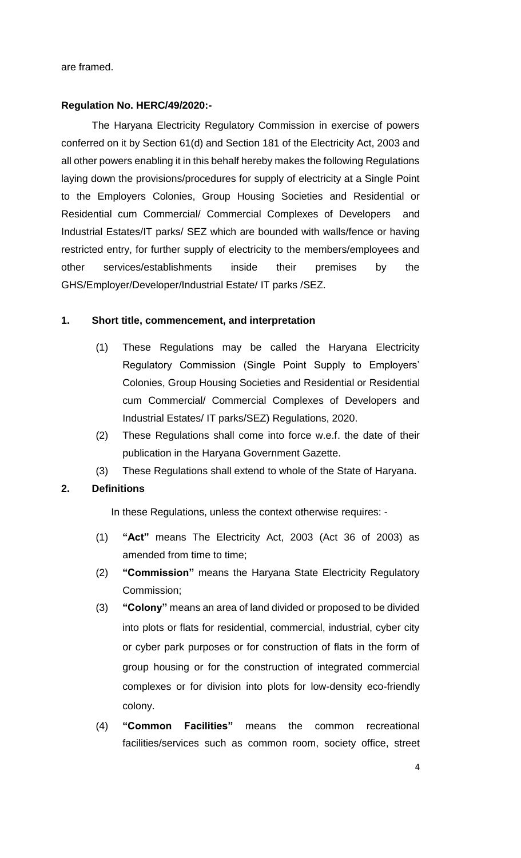are framed.

### **Regulation No. HERC/49/2020:-**

The Haryana Electricity Regulatory Commission in exercise of powers conferred on it by Section 61(d) and Section 181 of the Electricity Act, 2003 and all other powers enabling it in this behalf hereby makes the following Regulations laying down the provisions/procedures for supply of electricity at a Single Point to the Employers Colonies, Group Housing Societies and Residential or Residential cum Commercial/ Commercial Complexes of Developers and Industrial Estates/IT parks/ SEZ which are bounded with walls/fence or having restricted entry, for further supply of electricity to the members/employees and other services/establishments inside their premises by the GHS/Employer/Developer/Industrial Estate/ IT parks /SEZ.

### **1. Short title, commencement, and interpretation**

- (1) These Regulations may be called the Haryana Electricity Regulatory Commission (Single Point Supply to Employers' Colonies, Group Housing Societies and Residential or Residential cum Commercial/ Commercial Complexes of Developers and Industrial Estates/ IT parks/SEZ) Regulations, 2020.
- (2) These Regulations shall come into force w.e.f. the date of their publication in the Haryana Government Gazette.
- (3) These Regulations shall extend to whole of the State of Haryana.

### **2. Definitions**

In these Regulations, unless the context otherwise requires: -

- (1) **"Act"** means The Electricity Act, 2003 (Act 36 of 2003) as amended from time to time;
- (2) **"Commission"** means the Haryana State Electricity Regulatory Commission;
- (3) **"Colony"** means an area of land divided or proposed to be divided into plots or flats for residential, commercial, industrial, cyber city or cyber park purposes or for construction of flats in the form of group housing or for the construction of integrated commercial complexes or for division into plots for low-density eco-friendly colony.
- (4) **"Common Facilities"** means the common recreational facilities/services such as common room, society office, street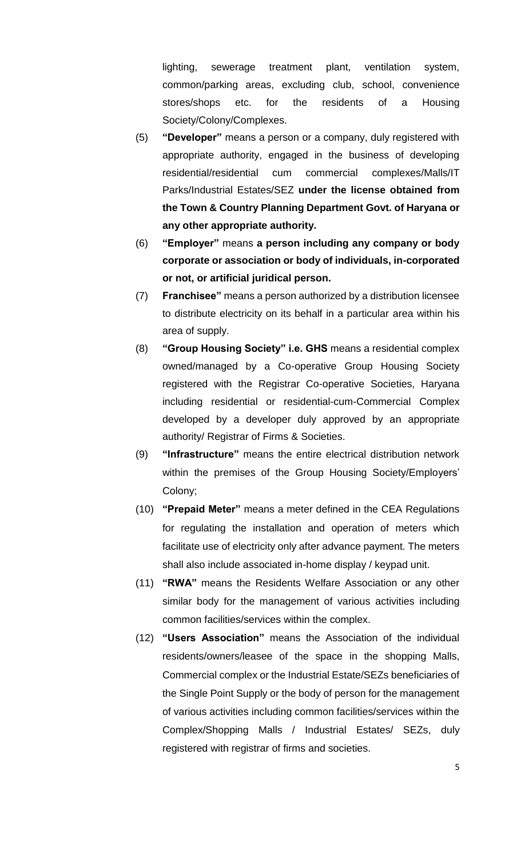lighting, sewerage treatment plant, ventilation system, common/parking areas, excluding club, school, convenience stores/shops etc. for the residents of a Housing Society/Colony/Complexes.

- (5) **"Developer"** means a person or a company, duly registered with appropriate authority, engaged in the business of developing residential/residential cum commercial complexes/Malls/IT Parks/Industrial Estates/SEZ **under the license obtained from the Town & Country Planning Department Govt. of Haryana or any other appropriate authority.**
- (6) **"Employer"** means **a person including any company or body corporate or association or body of individuals, in-corporated or not, or artificial juridical person.**
- (7) **Franchisee"** means a person authorized by a distribution licensee to distribute electricity on its behalf in a particular area within his area of supply.
- (8) **"Group Housing Society" i.e. GHS** means a residential complex owned/managed by a Co-operative Group Housing Society registered with the Registrar Co-operative Societies, Haryana including residential or residential-cum-Commercial Complex developed by a developer duly approved by an appropriate authority/ Registrar of Firms & Societies.
- (9) **"Infrastructure"** means the entire electrical distribution network within the premises of the Group Housing Society/Employers' Colony;
- (10) **"Prepaid Meter"** means a meter defined in the CEA Regulations for regulating the installation and operation of meters which facilitate use of electricity only after advance payment. The meters shall also include associated in-home display / keypad unit.
- (11) **"RWA"** means the Residents Welfare Association or any other similar body for the management of various activities including common facilities/services within the complex.
- (12) **"Users Association"** means the Association of the individual residents/owners/leasee of the space in the shopping Malls, Commercial complex or the Industrial Estate/SEZs beneficiaries of the Single Point Supply or the body of person for the management of various activities including common facilities/services within the Complex/Shopping Malls / Industrial Estates/ SEZs, duly registered with registrar of firms and societies.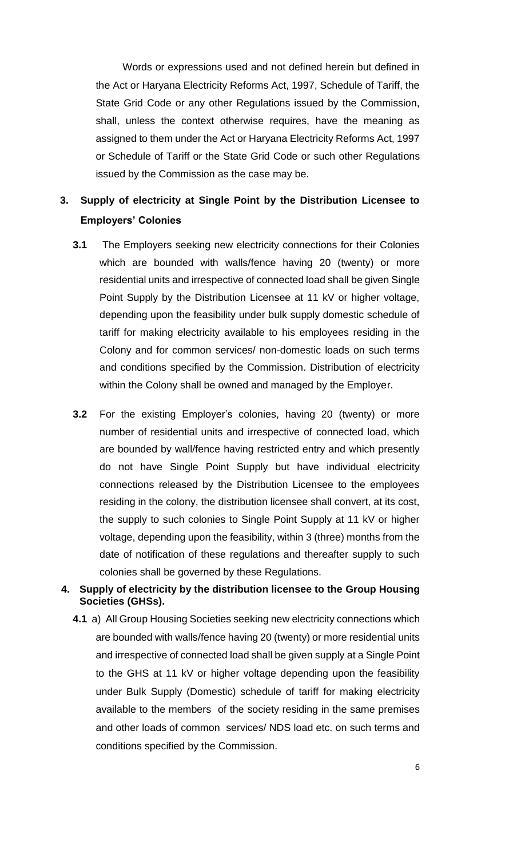Words or expressions used and not defined herein but defined in the Act or Haryana Electricity Reforms Act, 1997, Schedule of Tariff, the State Grid Code or any other Regulations issued by the Commission, shall, unless the context otherwise requires, have the meaning as assigned to them under the Act or Haryana Electricity Reforms Act, 1997 or Schedule of Tariff or the State Grid Code or such other Regulations issued by the Commission as the case may be.

# **3. Supply of electricity at Single Point by the Distribution Licensee to Employers' Colonies**

- **3.1** The Employers seeking new electricity connections for their Colonies which are bounded with walls/fence having 20 (twenty) or more residential units and irrespective of connected load shall be given Single Point Supply by the Distribution Licensee at 11 kV or higher voltage, depending upon the feasibility under bulk supply domestic schedule of tariff for making electricity available to his employees residing in the Colony and for common services/ non-domestic loads on such terms and conditions specified by the Commission. Distribution of electricity within the Colony shall be owned and managed by the Employer.
- **3.2** For the existing Employer's colonies, having 20 (twenty) or more number of residential units and irrespective of connected load, which are bounded by wall/fence having restricted entry and which presently do not have Single Point Supply but have individual electricity connections released by the Distribution Licensee to the employees residing in the colony, the distribution licensee shall convert, at its cost, the supply to such colonies to Single Point Supply at 11 kV or higher voltage, depending upon the feasibility, within 3 (three) months from the date of notification of these regulations and thereafter supply to such colonies shall be governed by these Regulations.

### **4. Supply of electricity by the distribution licensee to the Group Housing Societies (GHSs).**

**4.1** a) All Group Housing Societies seeking new electricity connections which are bounded with walls/fence having 20 (twenty) or more residential units and irrespective of connected load shall be given supply at a Single Point to the GHS at 11 kV or higher voltage depending upon the feasibility under Bulk Supply (Domestic) schedule of tariff for making electricity available to the members of the society residing in the same premises and other loads of common services/ NDS load etc. on such terms and conditions specified by the Commission.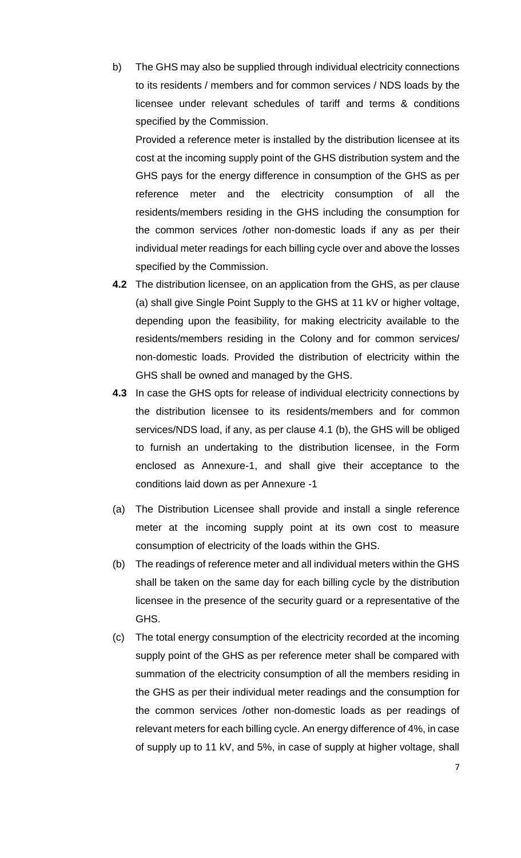b) The GHS may also be supplied through individual electricity connections to its residents / members and for common services / NDS loads by the licensee under relevant schedules of tariff and terms & conditions specified by the Commission.

Provided a reference meter is installed by the distribution licensee at its cost at the incoming supply point of the GHS distribution system and the GHS pays for the energy difference in consumption of the GHS as per reference meter and the electricity consumption of all the residents/members residing in the GHS including the consumption for the common services /other non-domestic loads if any as per their individual meter readings for each billing cycle over and above the losses specified by the Commission.

- **4.2** The distribution licensee, on an application from the GHS, as per clause (a) shall give Single Point Supply to the GHS at 11 kV or higher voltage, depending upon the feasibility, for making electricity available to the residents/members residing in the Colony and for common services/ non-domestic loads. Provided the distribution of electricity within the GHS shall be owned and managed by the GHS.
- **4.3** In case the GHS opts for release of individual electricity connections by the distribution licensee to its residents/members and for common services/NDS load, if any, as per clause 4.1 (b), the GHS will be obliged to furnish an undertaking to the distribution licensee, in the Form enclosed as Annexure-1, and shall give their acceptance to the conditions laid down as per Annexure -1
- (a) The Distribution Licensee shall provide and install a single reference meter at the incoming supply point at its own cost to measure consumption of electricity of the loads within the GHS.
- (b) The readings of reference meter and all individual meters within the GHS shall be taken on the same day for each billing cycle by the distribution licensee in the presence of the security guard or a representative of the GHS.
- (c) The total energy consumption of the electricity recorded at the incoming supply point of the GHS as per reference meter shall be compared with summation of the electricity consumption of all the members residing in the GHS as per their individual meter readings and the consumption for the common services /other non-domestic loads as per readings of relevant meters for each billing cycle. An energy difference of 4%, in case of supply up to 11 kV, and 5%, in case of supply at higher voltage, shall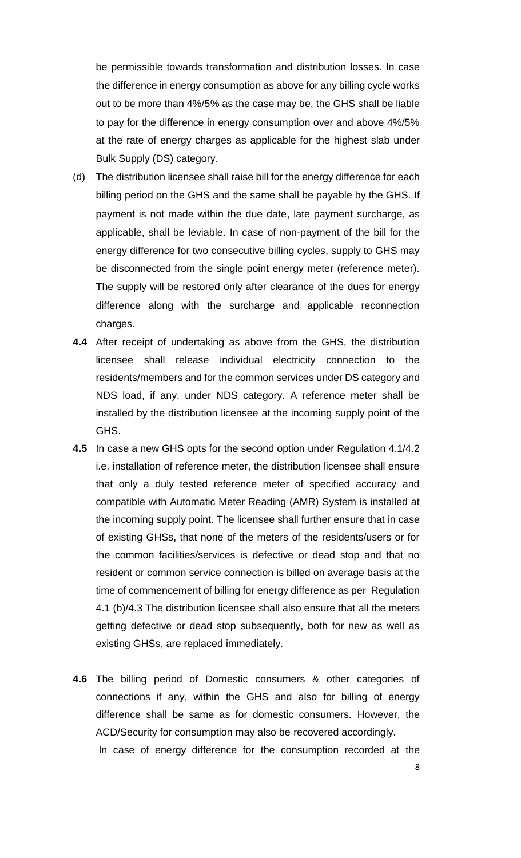be permissible towards transformation and distribution losses. In case the difference in energy consumption as above for any billing cycle works out to be more than 4%/5% as the case may be, the GHS shall be liable to pay for the difference in energy consumption over and above 4%/5% at the rate of energy charges as applicable for the highest slab under Bulk Supply (DS) category.

- (d) The distribution licensee shall raise bill for the energy difference for each billing period on the GHS and the same shall be payable by the GHS. If payment is not made within the due date, late payment surcharge, as applicable, shall be leviable. In case of non-payment of the bill for the energy difference for two consecutive billing cycles, supply to GHS may be disconnected from the single point energy meter (reference meter). The supply will be restored only after clearance of the dues for energy difference along with the surcharge and applicable reconnection charges.
- **4.4** After receipt of undertaking as above from the GHS, the distribution licensee shall release individual electricity connection to the residents/members and for the common services under DS category and NDS load, if any, under NDS category. A reference meter shall be installed by the distribution licensee at the incoming supply point of the GHS.
- **4.5** In case a new GHS opts for the second option under Regulation 4.1/4.2 i.e. installation of reference meter, the distribution licensee shall ensure that only a duly tested reference meter of specified accuracy and compatible with Automatic Meter Reading (AMR) System is installed at the incoming supply point. The licensee shall further ensure that in case of existing GHSs, that none of the meters of the residents/users or for the common facilities/services is defective or dead stop and that no resident or common service connection is billed on average basis at the time of commencement of billing for energy difference as per Regulation 4.1 (b)/4.3 The distribution licensee shall also ensure that all the meters getting defective or dead stop subsequently, both for new as well as existing GHSs, are replaced immediately.
- **4.6** The billing period of Domestic consumers & other categories of connections if any, within the GHS and also for billing of energy difference shall be same as for domestic consumers. However, the ACD/Security for consumption may also be recovered accordingly. In case of energy difference for the consumption recorded at the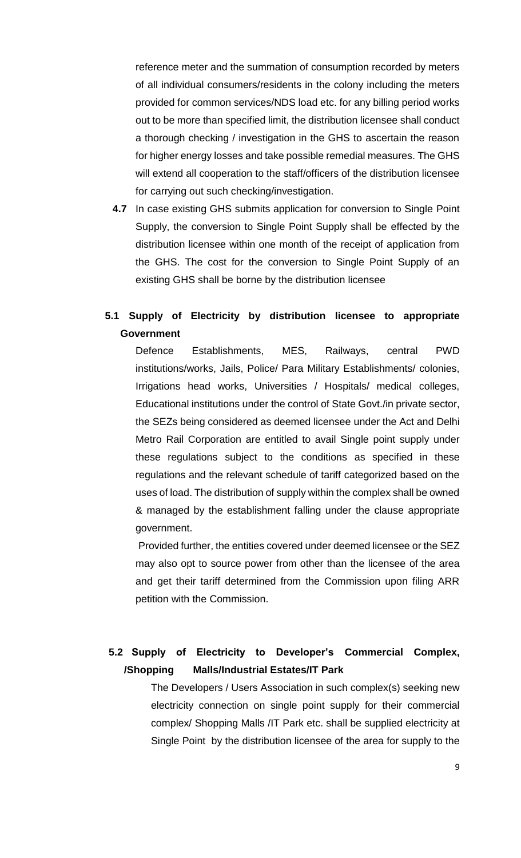reference meter and the summation of consumption recorded by meters of all individual consumers/residents in the colony including the meters provided for common services/NDS load etc. for any billing period works out to be more than specified limit, the distribution licensee shall conduct a thorough checking / investigation in the GHS to ascertain the reason for higher energy losses and take possible remedial measures. The GHS will extend all cooperation to the staff/officers of the distribution licensee for carrying out such checking/investigation.

**4.7** In case existing GHS submits application for conversion to Single Point Supply, the conversion to Single Point Supply shall be effected by the distribution licensee within one month of the receipt of application from the GHS. The cost for the conversion to Single Point Supply of an existing GHS shall be borne by the distribution licensee

# **5.1 Supply of Electricity by distribution licensee to appropriate Government**

Defence Establishments, MES, Railways, central PWD institutions/works, Jails, Police/ Para Military Establishments/ colonies, Irrigations head works, Universities / Hospitals/ medical colleges, Educational institutions under the control of State Govt./in private sector, the SEZs being considered as deemed licensee under the Act and Delhi Metro Rail Corporation are entitled to avail Single point supply under these regulations subject to the conditions as specified in these regulations and the relevant schedule of tariff categorized based on the uses of load. The distribution of supply within the complex shall be owned & managed by the establishment falling under the clause appropriate government.

Provided further, the entities covered under deemed licensee or the SEZ may also opt to source power from other than the licensee of the area and get their tariff determined from the Commission upon filing ARR petition with the Commission.

# **5.2 Supply of Electricity to Developer's Commercial Complex, /Shopping Malls/Industrial Estates/IT Park**

The Developers / Users Association in such complex(s) seeking new electricity connection on single point supply for their commercial complex/ Shopping Malls /IT Park etc. shall be supplied electricity at Single Point by the distribution licensee of the area for supply to the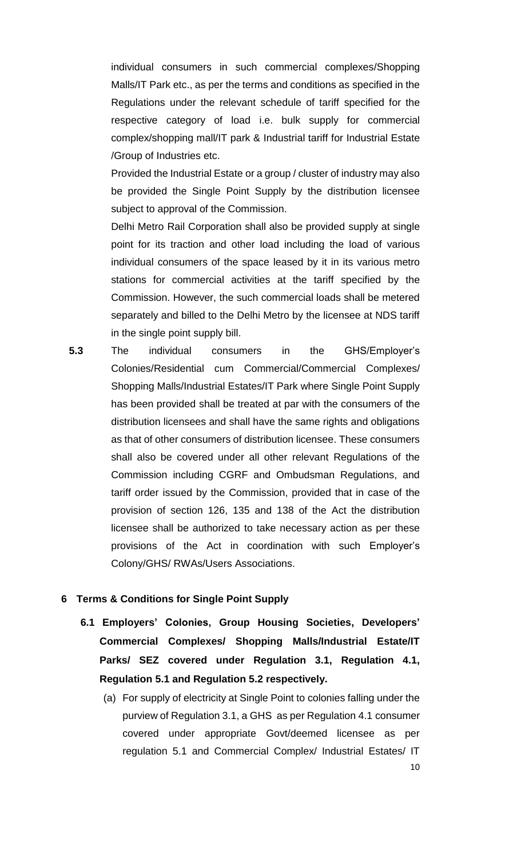individual consumers in such commercial complexes/Shopping Malls/IT Park etc., as per the terms and conditions as specified in the Regulations under the relevant schedule of tariff specified for the respective category of load i.e. bulk supply for commercial complex/shopping mall/IT park & Industrial tariff for Industrial Estate /Group of Industries etc.

Provided the Industrial Estate or a group / cluster of industry may also be provided the Single Point Supply by the distribution licensee subject to approval of the Commission.

Delhi Metro Rail Corporation shall also be provided supply at single point for its traction and other load including the load of various individual consumers of the space leased by it in its various metro stations for commercial activities at the tariff specified by the Commission. However, the such commercial loads shall be metered separately and billed to the Delhi Metro by the licensee at NDS tariff in the single point supply bill.

**5.3** The individual consumers in the GHS/Employer's Colonies/Residential cum Commercial/Commercial Complexes/ Shopping Malls/Industrial Estates/IT Park where Single Point Supply has been provided shall be treated at par with the consumers of the distribution licensees and shall have the same rights and obligations as that of other consumers of distribution licensee. These consumers shall also be covered under all other relevant Regulations of the Commission including CGRF and Ombudsman Regulations, and tariff order issued by the Commission, provided that in case of the provision of section 126, 135 and 138 of the Act the distribution licensee shall be authorized to take necessary action as per these provisions of the Act in coordination with such Employer's Colony/GHS/ RWAs/Users Associations.

### **6 Terms & Conditions for Single Point Supply**

- **6.1 Employers' Colonies, Group Housing Societies, Developers' Commercial Complexes/ Shopping Malls/Industrial Estate/IT Parks/ SEZ covered under Regulation 3.1, Regulation 4.1, Regulation 5.1 and Regulation 5.2 respectively.**
	- (a) For supply of electricity at Single Point to colonies falling under the purview of Regulation 3.1, a GHS as per Regulation 4.1 consumer covered under appropriate Govt/deemed licensee as per regulation 5.1 and Commercial Complex/ Industrial Estates/ IT

10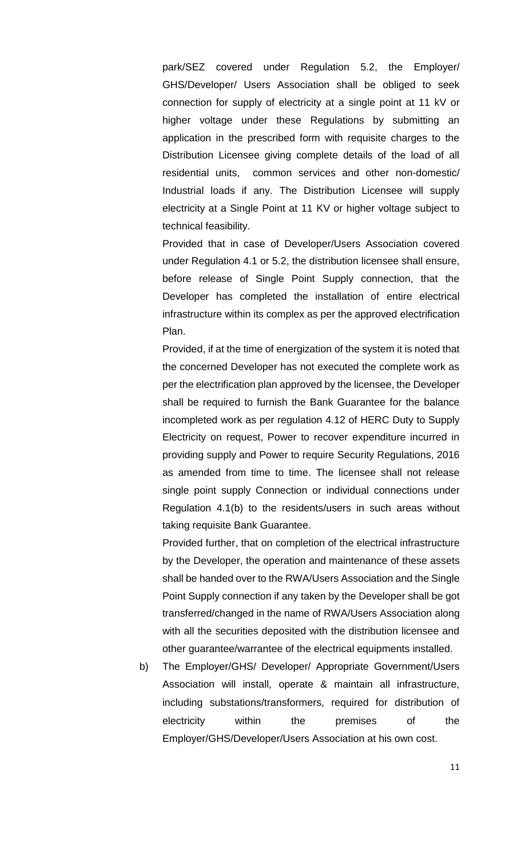park/SEZ covered under Regulation 5.2, the Employer/ GHS/Developer/ Users Association shall be obliged to seek connection for supply of electricity at a single point at 11 kV or higher voltage under these Regulations by submitting an application in the prescribed form with requisite charges to the Distribution Licensee giving complete details of the load of all residential units, common services and other non-domestic/ Industrial loads if any. The Distribution Licensee will supply electricity at a Single Point at 11 KV or higher voltage subject to technical feasibility.

Provided that in case of Developer/Users Association covered under Regulation 4.1 or 5.2, the distribution licensee shall ensure, before release of Single Point Supply connection, that the Developer has completed the installation of entire electrical infrastructure within its complex as per the approved electrification Plan.

Provided, if at the time of energization of the system it is noted that the concerned Developer has not executed the complete work as per the electrification plan approved by the licensee, the Developer shall be required to furnish the Bank Guarantee for the balance incompleted work as per regulation 4.12 of HERC Duty to Supply Electricity on request, Power to recover expenditure incurred in providing supply and Power to require Security Regulations, 2016 as amended from time to time. The licensee shall not release single point supply Connection or individual connections under Regulation 4.1(b) to the residents/users in such areas without taking requisite Bank Guarantee.

Provided further, that on completion of the electrical infrastructure by the Developer, the operation and maintenance of these assets shall be handed over to the RWA/Users Association and the Single Point Supply connection if any taken by the Developer shall be got transferred/changed in the name of RWA/Users Association along with all the securities deposited with the distribution licensee and other guarantee/warrantee of the electrical equipments installed.

b) The Employer/GHS/ Developer/ Appropriate Government/Users Association will install, operate & maintain all infrastructure, including substations/transformers, required for distribution of electricity within the premises of the Employer/GHS/Developer/Users Association at his own cost.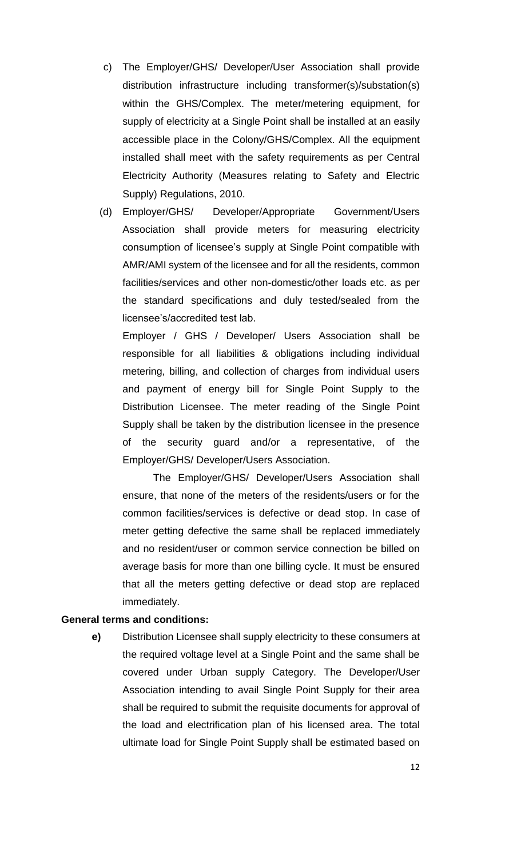c) The Employer/GHS/ Developer/User Association shall provide distribution infrastructure including transformer(s)/substation(s) within the GHS/Complex. The meter/metering equipment, for supply of electricity at a Single Point shall be installed at an easily accessible place in the Colony/GHS/Complex. All the equipment installed shall meet with the safety requirements as per Central Electricity Authority (Measures relating to Safety and Electric Supply) Regulations, 2010.

(d) Employer/GHS/ Developer/Appropriate Government/Users Association shall provide meters for measuring electricity consumption of licensee's supply at Single Point compatible with AMR/AMI system of the licensee and for all the residents, common facilities/services and other non-domestic/other loads etc. as per the standard specifications and duly tested/sealed from the licensee's/accredited test lab.

Employer / GHS / Developer/ Users Association shall be responsible for all liabilities & obligations including individual metering, billing, and collection of charges from individual users and payment of energy bill for Single Point Supply to the Distribution Licensee. The meter reading of the Single Point Supply shall be taken by the distribution licensee in the presence of the security guard and/or a representative, of the Employer/GHS/ Developer/Users Association.

The Employer/GHS/ Developer/Users Association shall ensure, that none of the meters of the residents/users or for the common facilities/services is defective or dead stop. In case of meter getting defective the same shall be replaced immediately and no resident/user or common service connection be billed on average basis for more than one billing cycle. It must be ensured that all the meters getting defective or dead stop are replaced immediately.

#### **General terms and conditions:**

**e)** Distribution Licensee shall supply electricity to these consumers at the required voltage level at a Single Point and the same shall be covered under Urban supply Category. The Developer/User Association intending to avail Single Point Supply for their area shall be required to submit the requisite documents for approval of the load and electrification plan of his licensed area. The total ultimate load for Single Point Supply shall be estimated based on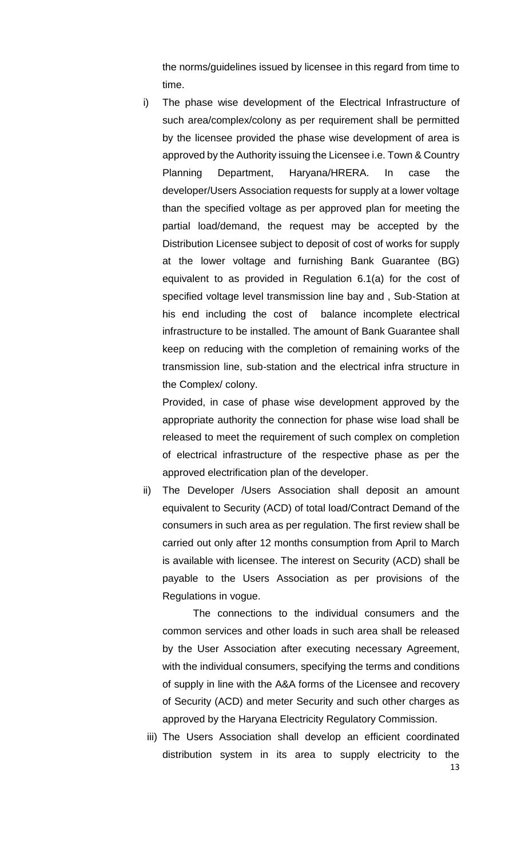the norms/guidelines issued by licensee in this regard from time to time.

i) The phase wise development of the Electrical Infrastructure of such area/complex/colony as per requirement shall be permitted by the licensee provided the phase wise development of area is approved by the Authority issuing the Licensee i.e. Town & Country Planning Department, Haryana/HRERA. In case the developer/Users Association requests for supply at a lower voltage than the specified voltage as per approved plan for meeting the partial load/demand, the request may be accepted by the Distribution Licensee subject to deposit of cost of works for supply at the lower voltage and furnishing Bank Guarantee (BG) equivalent to as provided in Regulation 6.1(a) for the cost of specified voltage level transmission line bay and , Sub-Station at his end including the cost of balance incomplete electrical infrastructure to be installed. The amount of Bank Guarantee shall keep on reducing with the completion of remaining works of the transmission line, sub-station and the electrical infra structure in the Complex/ colony.

Provided, in case of phase wise development approved by the appropriate authority the connection for phase wise load shall be released to meet the requirement of such complex on completion of electrical infrastructure of the respective phase as per the approved electrification plan of the developer.

ii) The Developer /Users Association shall deposit an amount equivalent to Security (ACD) of total load/Contract Demand of the consumers in such area as per regulation. The first review shall be carried out only after 12 months consumption from April to March is available with licensee. The interest on Security (ACD) shall be payable to the Users Association as per provisions of the Regulations in vogue.

The connections to the individual consumers and the common services and other loads in such area shall be released by the User Association after executing necessary Agreement, with the individual consumers, specifying the terms and conditions of supply in line with the A&A forms of the Licensee and recovery of Security (ACD) and meter Security and such other charges as approved by the Haryana Electricity Regulatory Commission.

iii) The Users Association shall develop an efficient coordinated distribution system in its area to supply electricity to the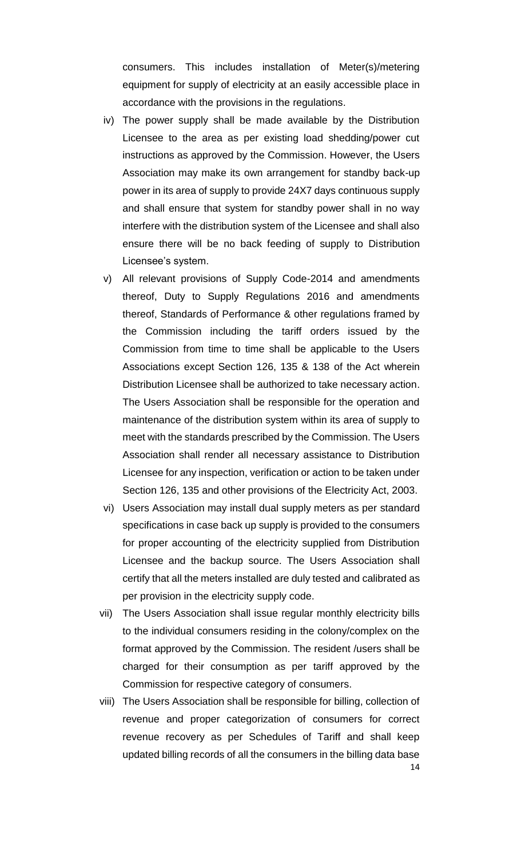consumers. This includes installation of Meter(s)/metering equipment for supply of electricity at an easily accessible place in accordance with the provisions in the regulations.

- iv) The power supply shall be made available by the Distribution Licensee to the area as per existing load shedding/power cut instructions as approved by the Commission. However, the Users Association may make its own arrangement for standby back-up power in its area of supply to provide 24X7 days continuous supply and shall ensure that system for standby power shall in no way interfere with the distribution system of the Licensee and shall also ensure there will be no back feeding of supply to Distribution Licensee's system.
- v) All relevant provisions of Supply Code-2014 and amendments thereof, Duty to Supply Regulations 2016 and amendments thereof, Standards of Performance & other regulations framed by the Commission including the tariff orders issued by the Commission from time to time shall be applicable to the Users Associations except Section 126, 135 & 138 of the Act wherein Distribution Licensee shall be authorized to take necessary action. The Users Association shall be responsible for the operation and maintenance of the distribution system within its area of supply to meet with the standards prescribed by the Commission. The Users Association shall render all necessary assistance to Distribution Licensee for any inspection, verification or action to be taken under Section 126, 135 and other provisions of the Electricity Act, 2003.
- vi) Users Association may install dual supply meters as per standard specifications in case back up supply is provided to the consumers for proper accounting of the electricity supplied from Distribution Licensee and the backup source. The Users Association shall certify that all the meters installed are duly tested and calibrated as per provision in the electricity supply code.
- vii) The Users Association shall issue regular monthly electricity bills to the individual consumers residing in the colony/complex on the format approved by the Commission. The resident /users shall be charged for their consumption as per tariff approved by the Commission for respective category of consumers.
- 14 viii) The Users Association shall be responsible for billing, collection of revenue and proper categorization of consumers for correct revenue recovery as per Schedules of Tariff and shall keep updated billing records of all the consumers in the billing data base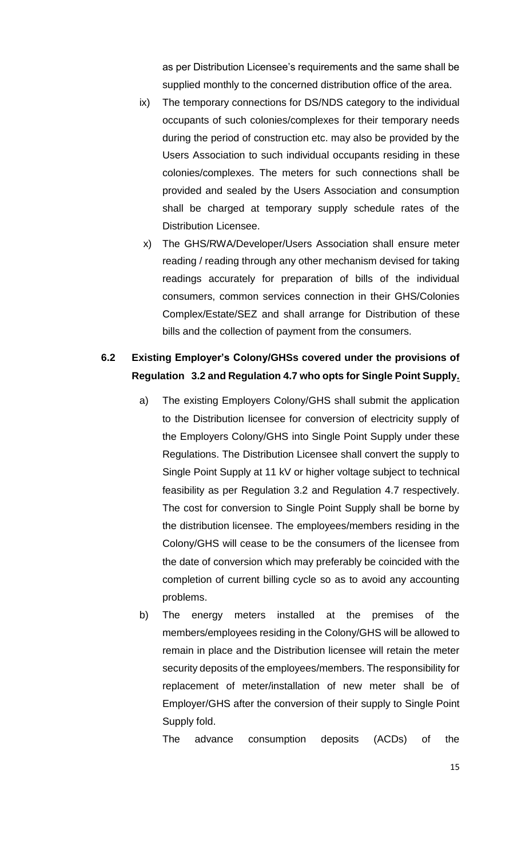as per Distribution Licensee's requirements and the same shall be supplied monthly to the concerned distribution office of the area.

- ix) The temporary connections for DS/NDS category to the individual occupants of such colonies/complexes for their temporary needs during the period of construction etc. may also be provided by the Users Association to such individual occupants residing in these colonies/complexes. The meters for such connections shall be provided and sealed by the Users Association and consumption shall be charged at temporary supply schedule rates of the Distribution Licensee.
	- x) The GHS/RWA/Developer/Users Association shall ensure meter reading / reading through any other mechanism devised for taking readings accurately for preparation of bills of the individual consumers, common services connection in their GHS/Colonies Complex/Estate/SEZ and shall arrange for Distribution of these bills and the collection of payment from the consumers.

# **6.2 Existing Employer's Colony/GHSs covered under the provisions of Regulation 3.2 and Regulation 4.7 who opts for Single Point Supply.**

- a) The existing Employers Colony/GHS shall submit the application to the Distribution licensee for conversion of electricity supply of the Employers Colony/GHS into Single Point Supply under these Regulations. The Distribution Licensee shall convert the supply to Single Point Supply at 11 kV or higher voltage subject to technical feasibility as per Regulation 3.2 and Regulation 4.7 respectively. The cost for conversion to Single Point Supply shall be borne by the distribution licensee. The employees/members residing in the Colony/GHS will cease to be the consumers of the licensee from the date of conversion which may preferably be coincided with the completion of current billing cycle so as to avoid any accounting problems.
- b) The energy meters installed at the premises of the members/employees residing in the Colony/GHS will be allowed to remain in place and the Distribution licensee will retain the meter security deposits of the employees/members. The responsibility for replacement of meter/installation of new meter shall be of Employer/GHS after the conversion of their supply to Single Point Supply fold.

The advance consumption deposits (ACDs) of the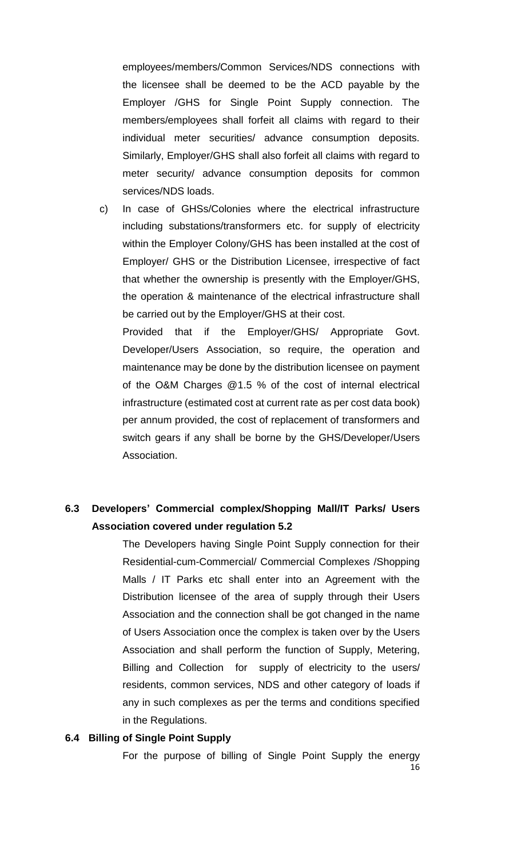employees/members/Common Services/NDS connections with the licensee shall be deemed to be the ACD payable by the Employer /GHS for Single Point Supply connection. The members/employees shall forfeit all claims with regard to their individual meter securities/ advance consumption deposits. Similarly, Employer/GHS shall also forfeit all claims with regard to meter security/ advance consumption deposits for common services/NDS loads.

c) In case of GHSs/Colonies where the electrical infrastructure including substations/transformers etc. for supply of electricity within the Employer Colony/GHS has been installed at the cost of Employer/ GHS or the Distribution Licensee, irrespective of fact that whether the ownership is presently with the Employer/GHS, the operation & maintenance of the electrical infrastructure shall be carried out by the Employer/GHS at their cost.

Provided that if the Employer/GHS/ Appropriate Govt. Developer/Users Association, so require, the operation and maintenance may be done by the distribution licensee on payment of the O&M Charges @1.5 % of the cost of internal electrical infrastructure (estimated cost at current rate as per cost data book) per annum provided, the cost of replacement of transformers and switch gears if any shall be borne by the GHS/Developer/Users Association.

# **6.3 Developers' Commercial complex/Shopping Mall/IT Parks/ Users Association covered under regulation 5.2**

The Developers having Single Point Supply connection for their Residential-cum-Commercial/ Commercial Complexes /Shopping Malls / IT Parks etc shall enter into an Agreement with the Distribution licensee of the area of supply through their Users Association and the connection shall be got changed in the name of Users Association once the complex is taken over by the Users Association and shall perform the function of Supply, Metering, Billing and Collection for supply of electricity to the users/ residents, common services, NDS and other category of loads if any in such complexes as per the terms and conditions specified in the Regulations.

#### **6.4 Billing of Single Point Supply**

16 For the purpose of billing of Single Point Supply the energy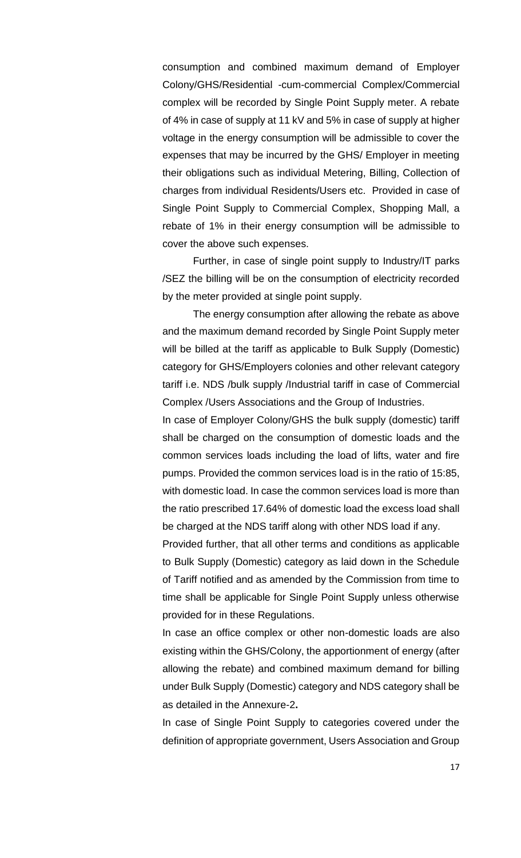consumption and combined maximum demand of Employer Colony/GHS/Residential -cum-commercial Complex/Commercial complex will be recorded by Single Point Supply meter. A rebate of 4% in case of supply at 11 kV and 5% in case of supply at higher voltage in the energy consumption will be admissible to cover the expenses that may be incurred by the GHS/ Employer in meeting their obligations such as individual Metering, Billing, Collection of charges from individual Residents/Users etc. Provided in case of Single Point Supply to Commercial Complex, Shopping Mall, a rebate of 1% in their energy consumption will be admissible to cover the above such expenses.

Further, in case of single point supply to Industry/IT parks /SEZ the billing will be on the consumption of electricity recorded by the meter provided at single point supply.

The energy consumption after allowing the rebate as above and the maximum demand recorded by Single Point Supply meter will be billed at the tariff as applicable to Bulk Supply (Domestic) category for GHS/Employers colonies and other relevant category tariff i.e. NDS /bulk supply /Industrial tariff in case of Commercial Complex /Users Associations and the Group of Industries.

In case of Employer Colony/GHS the bulk supply (domestic) tariff shall be charged on the consumption of domestic loads and the common services loads including the load of lifts, water and fire pumps. Provided the common services load is in the ratio of 15:85, with domestic load. In case the common services load is more than the ratio prescribed 17.64% of domestic load the excess load shall be charged at the NDS tariff along with other NDS load if any.

Provided further, that all other terms and conditions as applicable to Bulk Supply (Domestic) category as laid down in the Schedule of Tariff notified and as amended by the Commission from time to time shall be applicable for Single Point Supply unless otherwise provided for in these Regulations.

In case an office complex or other non-domestic loads are also existing within the GHS/Colony, the apportionment of energy (after allowing the rebate) and combined maximum demand for billing under Bulk Supply (Domestic) category and NDS category shall be as detailed in the Annexure-2**.**

In case of Single Point Supply to categories covered under the definition of appropriate government, Users Association and Group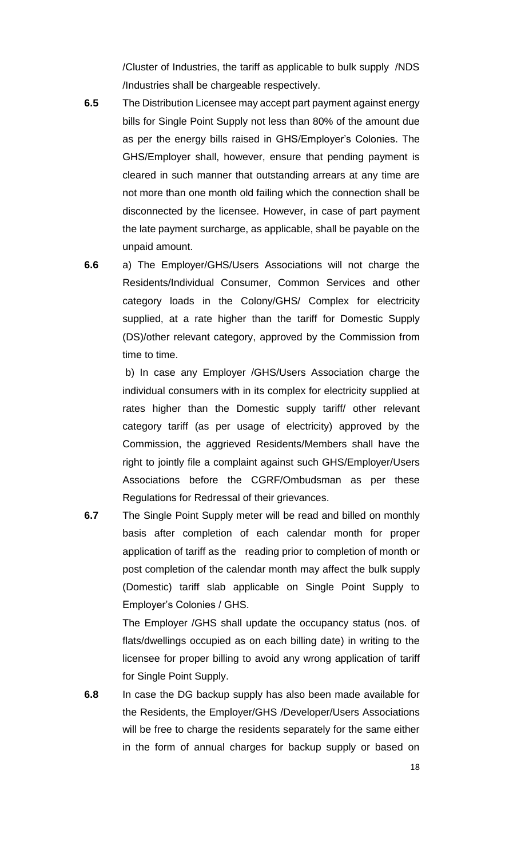/Cluster of Industries, the tariff as applicable to bulk supply /NDS /Industries shall be chargeable respectively.

- **6.5** The Distribution Licensee may accept part payment against energy bills for Single Point Supply not less than 80% of the amount due as per the energy bills raised in GHS/Employer's Colonies. The GHS/Employer shall, however, ensure that pending payment is cleared in such manner that outstanding arrears at any time are not more than one month old failing which the connection shall be disconnected by the licensee. However, in case of part payment the late payment surcharge, as applicable, shall be payable on the unpaid amount.
- **6.6** a) The Employer/GHS/Users Associations will not charge the Residents/Individual Consumer, Common Services and other category loads in the Colony/GHS/ Complex for electricity supplied, at a rate higher than the tariff for Domestic Supply (DS)/other relevant category, approved by the Commission from time to time.

b) In case any Employer /GHS/Users Association charge the individual consumers with in its complex for electricity supplied at rates higher than the Domestic supply tariff/ other relevant category tariff (as per usage of electricity) approved by the Commission, the aggrieved Residents/Members shall have the right to jointly file a complaint against such GHS/Employer/Users Associations before the CGRF/Ombudsman as per these Regulations for Redressal of their grievances.

**6.7** The Single Point Supply meter will be read and billed on monthly basis after completion of each calendar month for proper application of tariff as the reading prior to completion of month or post completion of the calendar month may affect the bulk supply (Domestic) tariff slab applicable on Single Point Supply to Employer's Colonies / GHS.

> The Employer /GHS shall update the occupancy status (nos. of flats/dwellings occupied as on each billing date) in writing to the licensee for proper billing to avoid any wrong application of tariff for Single Point Supply.

**6.8** In case the DG backup supply has also been made available for the Residents, the Employer/GHS /Developer/Users Associations will be free to charge the residents separately for the same either in the form of annual charges for backup supply or based on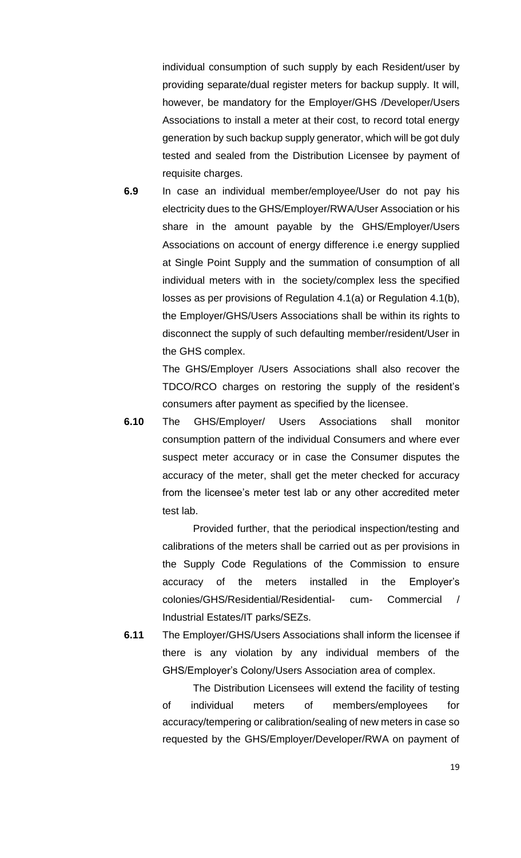individual consumption of such supply by each Resident/user by providing separate/dual register meters for backup supply. It will, however, be mandatory for the Employer/GHS /Developer/Users Associations to install a meter at their cost, to record total energy generation by such backup supply generator, which will be got duly tested and sealed from the Distribution Licensee by payment of requisite charges.

**6.9** In case an individual member/employee/User do not pay his electricity dues to the GHS/Employer/RWA/User Association or his share in the amount payable by the GHS/Employer/Users Associations on account of energy difference i.e energy supplied at Single Point Supply and the summation of consumption of all individual meters with in the society/complex less the specified losses as per provisions of Regulation 4.1(a) or Regulation 4.1(b), the Employer/GHS/Users Associations shall be within its rights to disconnect the supply of such defaulting member/resident/User in the GHS complex.

> The GHS/Employer /Users Associations shall also recover the TDCO/RCO charges on restoring the supply of the resident's consumers after payment as specified by the licensee.

**6.10** The GHS/Employer/ Users Associations shall monitor consumption pattern of the individual Consumers and where ever suspect meter accuracy or in case the Consumer disputes the accuracy of the meter, shall get the meter checked for accuracy from the licensee's meter test lab or any other accredited meter test lab.

> Provided further, that the periodical inspection/testing and calibrations of the meters shall be carried out as per provisions in the Supply Code Regulations of the Commission to ensure accuracy of the meters installed in the Employer's colonies/GHS/Residential/Residential- cum- Commercial / Industrial Estates/IT parks/SEZs.

**6.11** The Employer/GHS/Users Associations shall inform the licensee if there is any violation by any individual members of the GHS/Employer's Colony/Users Association area of complex.

> The Distribution Licensees will extend the facility of testing of individual meters of members/employees for accuracy/tempering or calibration/sealing of new meters in case so requested by the GHS/Employer/Developer/RWA on payment of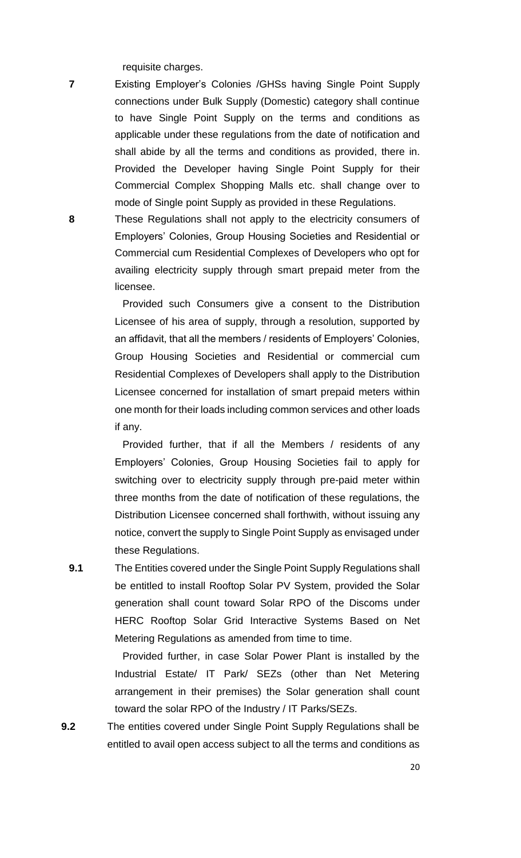requisite charges.

**7** Existing Employer's Colonies /GHSs having Single Point Supply connections under Bulk Supply (Domestic) category shall continue to have Single Point Supply on the terms and conditions as applicable under these regulations from the date of notification and shall abide by all the terms and conditions as provided, there in. Provided the Developer having Single Point Supply for their Commercial Complex Shopping Malls etc. shall change over to mode of Single point Supply as provided in these Regulations.

**8** These Regulations shall not apply to the electricity consumers of Employers' Colonies, Group Housing Societies and Residential or Commercial cum Residential Complexes of Developers who opt for availing electricity supply through smart prepaid meter from the licensee.

> Provided such Consumers give a consent to the Distribution Licensee of his area of supply, through a resolution, supported by an affidavit, that all the members / residents of Employers' Colonies, Group Housing Societies and Residential or commercial cum Residential Complexes of Developers shall apply to the Distribution Licensee concerned for installation of smart prepaid meters within one month for their loads including common services and other loads if any.

> Provided further, that if all the Members / residents of any Employers' Colonies, Group Housing Societies fail to apply for switching over to electricity supply through pre-paid meter within three months from the date of notification of these regulations, the Distribution Licensee concerned shall forthwith, without issuing any notice, convert the supply to Single Point Supply as envisaged under these Regulations.

**9.1** The Entities covered under the Single Point Supply Regulations shall be entitled to install Rooftop Solar PV System, provided the Solar generation shall count toward Solar RPO of the Discoms under HERC Rooftop Solar Grid Interactive Systems Based on Net Metering Regulations as amended from time to time.

> Provided further, in case Solar Power Plant is installed by the Industrial Estate/ IT Park/ SEZs (other than Net Metering arrangement in their premises) the Solar generation shall count toward the solar RPO of the Industry / IT Parks/SEZs.

**9.2** The entities covered under Single Point Supply Regulations shall be entitled to avail open access subject to all the terms and conditions as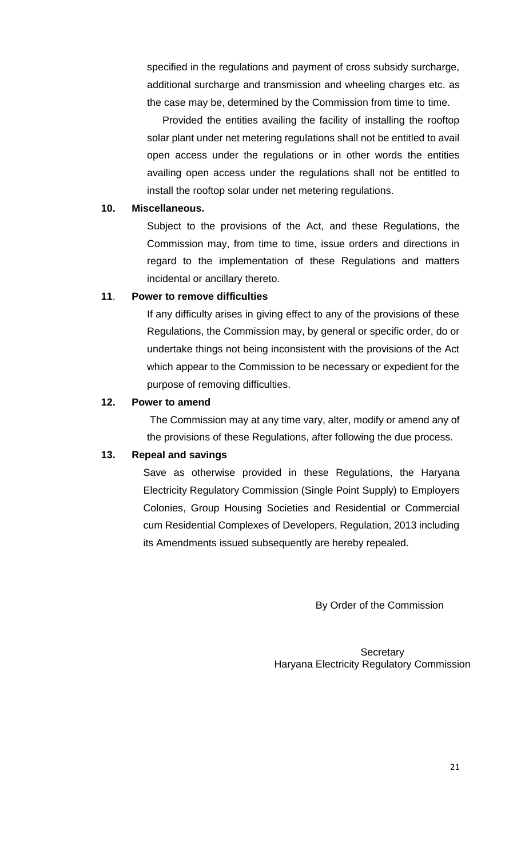specified in the regulations and payment of cross subsidy surcharge, additional surcharge and transmission and wheeling charges etc. as the case may be, determined by the Commission from time to time.

Provided the entities availing the facility of installing the rooftop solar plant under net metering regulations shall not be entitled to avail open access under the regulations or in other words the entities availing open access under the regulations shall not be entitled to install the rooftop solar under net metering regulations.

### **10. Miscellaneous.**

Subject to the provisions of the Act, and these Regulations, the Commission may, from time to time, issue orders and directions in regard to the implementation of these Regulations and matters incidental or ancillary thereto.

### **11**. **Power to remove difficulties**

 If any difficulty arises in giving effect to any of the provisions of these Regulations, the Commission may, by general or specific order, do or undertake things not being inconsistent with the provisions of the Act which appear to the Commission to be necessary or expedient for the purpose of removing difficulties.

## **12. Power to amend**

The Commission may at any time vary, alter, modify or amend any of the provisions of these Regulations, after following the due process.

### **13. Repeal and savings**

Save as otherwise provided in these Regulations, the Haryana Electricity Regulatory Commission (Single Point Supply) to Employers Colonies, Group Housing Societies and Residential or Commercial cum Residential Complexes of Developers, Regulation, 2013 including its Amendments issued subsequently are hereby repealed.

By Order of the Commission

**Secretary** Haryana Electricity Regulatory Commission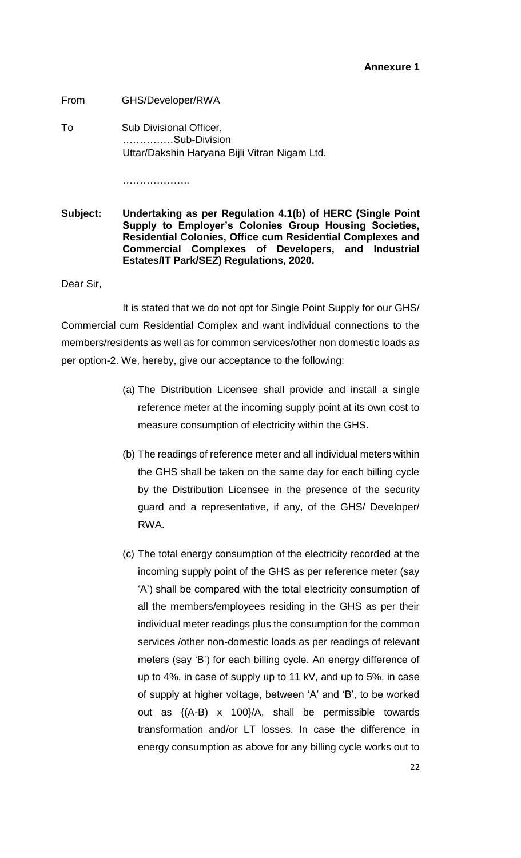From GHS/Developer/RWA

To Sub Divisional Officer, ……………Sub-Division Uttar/Dakshin Haryana Bijli Vitran Nigam Ltd.

……………………

**Subject: Undertaking as per Regulation 4.1(b) of HERC (Single Point Supply to Employer's Colonies Group Housing Societies, Residential Colonies, Office cum Residential Complexes and Commercial Complexes of Developers, and Industrial Estates/IT Park/SEZ) Regulations, 2020.**

Dear Sir,

It is stated that we do not opt for Single Point Supply for our GHS/ Commercial cum Residential Complex and want individual connections to the members/residents as well as for common services/other non domestic loads as per option-2. We, hereby, give our acceptance to the following:

- (a) The Distribution Licensee shall provide and install a single reference meter at the incoming supply point at its own cost to measure consumption of electricity within the GHS.
- (b) The readings of reference meter and all individual meters within the GHS shall be taken on the same day for each billing cycle by the Distribution Licensee in the presence of the security guard and a representative, if any, of the GHS/ Developer/ RWA.
- (c) The total energy consumption of the electricity recorded at the incoming supply point of the GHS as per reference meter (say 'A') shall be compared with the total electricity consumption of all the members/employees residing in the GHS as per their individual meter readings plus the consumption for the common services /other non-domestic loads as per readings of relevant meters (say 'B') for each billing cycle. An energy difference of up to 4%, in case of supply up to 11 kV, and up to 5%, in case of supply at higher voltage, between 'A' and 'B', to be worked out as {(A-B) x 100}/A, shall be permissible towards transformation and/or LT losses. In case the difference in energy consumption as above for any billing cycle works out to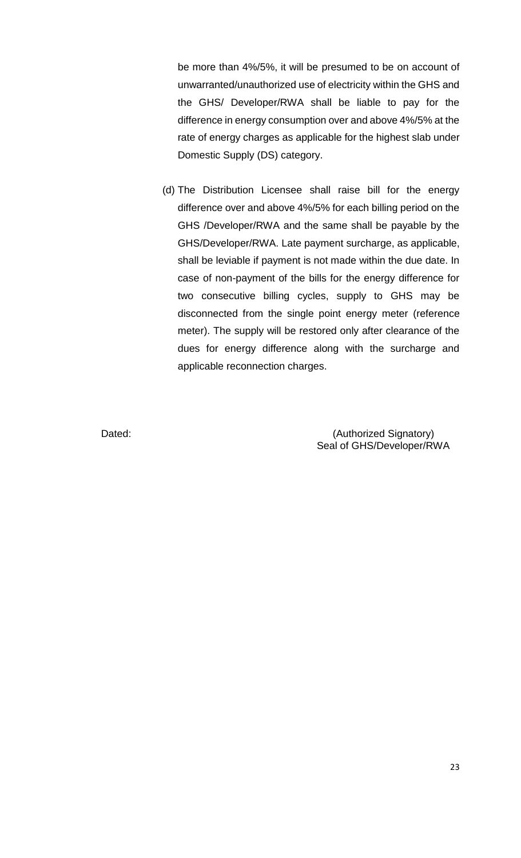be more than 4%/5%, it will be presumed to be on account of unwarranted/unauthorized use of electricity within the GHS and the GHS/ Developer/RWA shall be liable to pay for the difference in energy consumption over and above 4%/5% at the rate of energy charges as applicable for the highest slab under Domestic Supply (DS) category.

(d) The Distribution Licensee shall raise bill for the energy difference over and above 4%/5% for each billing period on the GHS /Developer/RWA and the same shall be payable by the GHS/Developer/RWA. Late payment surcharge, as applicable, shall be leviable if payment is not made within the due date. In case of non-payment of the bills for the energy difference for two consecutive billing cycles, supply to GHS may be disconnected from the single point energy meter (reference meter). The supply will be restored only after clearance of the dues for energy difference along with the surcharge and applicable reconnection charges.

Dated: (Authorized Signatory) Seal of GHS/Developer/RWA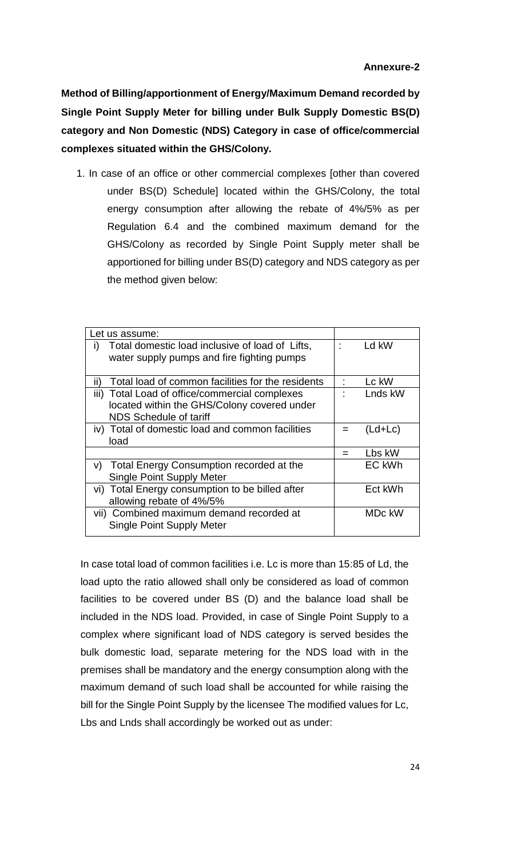**Method of Billing/apportionment of Energy/Maximum Demand recorded by Single Point Supply Meter for billing under Bulk Supply Domestic BS(D) category and Non Domestic (NDS) Category in case of office/commercial complexes situated within the GHS/Colony.**

1. In case of an office or other commercial complexes [other than covered under BS(D) Schedule] located within the GHS/Colony, the total energy consumption after allowing the rebate of 4%/5% as per Regulation 6.4 and the combined maximum demand for the GHS/Colony as recorded by Single Point Supply meter shall be apportioned for billing under BS(D) category and NDS category as per the method given below:

| Let us assume:                                           |           |
|----------------------------------------------------------|-----------|
| Total domestic load inclusive of load of Lifts,<br>I)    | Ld kW     |
| water supply pumps and fire fighting pumps               |           |
|                                                          |           |
| Total load of common facilities for the residents<br>II) | Lc kW     |
| iii) Total Load of office/commercial complexes           | Lnds kW   |
| located within the GHS/Colony covered under              |           |
| NDS Schedule of tariff                                   |           |
| iv) Total of domestic load and common facilities         | $(Ld+Lc)$ |
| load                                                     |           |
|                                                          | Lbs kW    |
| Total Energy Consumption recorded at the<br>V)           | EC kWh    |
| <b>Single Point Supply Meter</b>                         |           |
| vi) Total Energy consumption to be billed after          | Ect kWh   |
| allowing rebate of 4%/5%                                 |           |
| vii) Combined maximum demand recorded at                 | MDc kW    |
| <b>Single Point Supply Meter</b>                         |           |
|                                                          |           |

In case total load of common facilities i.e. Lc is more than 15:85 of Ld, the load upto the ratio allowed shall only be considered as load of common facilities to be covered under BS (D) and the balance load shall be included in the NDS load. Provided, in case of Single Point Supply to a complex where significant load of NDS category is served besides the bulk domestic load, separate metering for the NDS load with in the premises shall be mandatory and the energy consumption along with the maximum demand of such load shall be accounted for while raising the bill for the Single Point Supply by the licensee The modified values for Lc, Lbs and Lnds shall accordingly be worked out as under: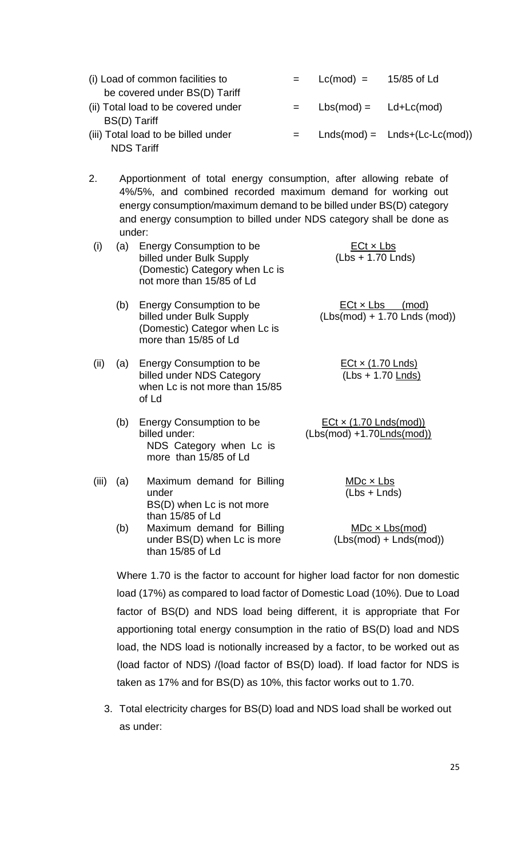- (i) Load of common facilities to  $=$  Lc(mod) = 15/85 of Ld be covered under BS(D) Tariff
- (ii) Total load to be covered under  $=$  Lbs(mod) = Ld+Lc(mod) BS(D) Tariff
- (iii) Total load to be billed under  $=$  Lnds(mod) = Lnds+(Lc-Lc(mod)) NDS Tariff
- 2. Apportionment of total energy consumption, after allowing rebate of 4%/5%, and combined recorded maximum demand for working out energy consumption/maximum demand to be billed under BS(D) category and energy consumption to billed under NDS category shall be done as under:

| (i)   | (a) | <b>Energy Consumption to be</b><br>billed under Bulk Supply<br>(Domestic) Category when Lc is<br>not more than 15/85 of Ld | $\frac{\text{ECt}}{\text{L}} \times \text{Lbs}$<br>(Lbs + 1.70 Lnds) |
|-------|-----|----------------------------------------------------------------------------------------------------------------------------|----------------------------------------------------------------------|
|       | (b) | Energy Consumption to be<br>billed under Bulk Supply<br>(Domestic) Categor when Lc is<br>more than 15/85 of Ld             | $\frac{ECt \times Lbs}{2}$ (mod)<br>$(Lbs(mod) + 1.70$ Lnds $(mod)$  |
| (ii)  | (a) | Energy Consumption to be<br>billed under NDS Category<br>when Lc is not more than 15/85<br>of Ld                           | <u>ECt x (1.70 Lnds)</u><br>$(Lbs + 1.70$ Lnds)                      |
|       | (b) | Energy Consumption to be<br>billed under:<br>NDS Category when Lc is<br>more than 15/85 of Ld                              | $ECt × (1.70 Lnds(mod))$<br>$(Lbs(mod) +1.70$ <i>Lnds(mod))</i>      |
| (iii) | (a) | Maximum demand for Billing<br>under<br>BS(D) when Lc is not more<br>than 15/85 of Ld                                       | $MDC \times Lbs$<br>$(Lbs + Lnds)$                                   |
|       | (b) | Maximum demand for Billing<br>under BS(D) when Lc is more<br>than 15/85 of Ld                                              | MDc x Lbs(mod)<br>$(Lbs(mod) + Lnds(mod))$                           |

Where 1.70 is the factor to account for higher load factor for non domestic load (17%) as compared to load factor of Domestic Load (10%). Due to Load factor of BS(D) and NDS load being different, it is appropriate that For apportioning total energy consumption in the ratio of BS(D) load and NDS load, the NDS load is notionally increased by a factor, to be worked out as (load factor of NDS) /(load factor of BS(D) load). If load factor for NDS is taken as 17% and for BS(D) as 10%, this factor works out to 1.70.

3. Total electricity charges for BS(D) load and NDS load shall be worked out as under: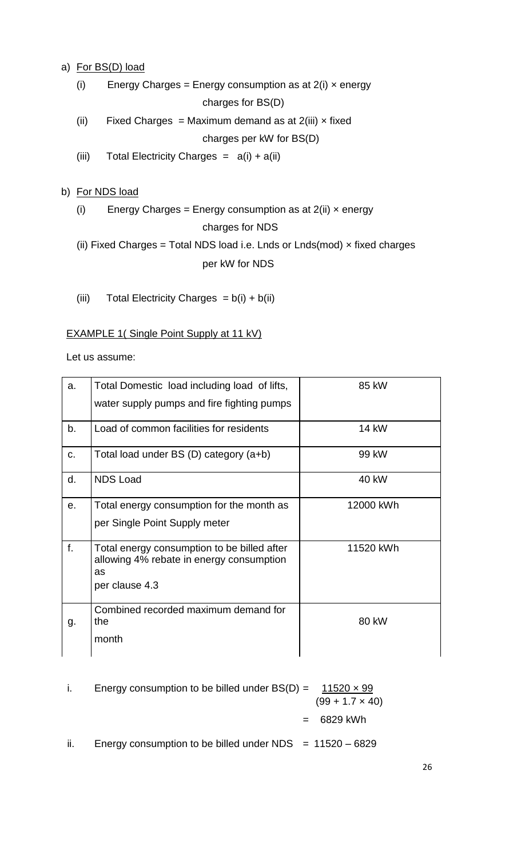### a) For BS(D) load

(i) Energy Charges = Energy consumption as at  $2(i) \times$  energy

charges for BS(D)

(ii) Fixed Charges = Maximum demand as at  $2(iii) \times fixed$ 

charges per kW for BS(D)

(iii) Total Electricity Charges =  $a(i) + a(ii)$ 

## b) For NDS load

(i) Energy Charges = Energy consumption as at  $2(ii) \times$  energy

## charges for NDS

- (ii) Fixed Charges = Total NDS load i.e. Lnds or  $Lnds(mod)$  x fixed charges per kW for NDS
- (iii) Total Electricity Charges =  $b(i) + b(ii)$

## EXAMPLE 1( Single Point Supply at 11 kV)

Let us assume:

| a.             | Total Domestic load including load of lifts,<br>water supply pumps and fire fighting pumps    | 85 kW     |
|----------------|-----------------------------------------------------------------------------------------------|-----------|
|                |                                                                                               |           |
| b.             | Load of common facilities for residents                                                       | 14 kW     |
| C <sub>1</sub> | Total load under BS (D) category (a+b)                                                        | 99 kW     |
| d.             | <b>NDS Load</b>                                                                               | 40 kW     |
| e.             | Total energy consumption for the month as                                                     | 12000 kWh |
|                | per Single Point Supply meter                                                                 |           |
| f.             | Total energy consumption to be billed after<br>allowing 4% rebate in energy consumption<br>as | 11520 kWh |
|                | per clause 4.3                                                                                |           |
| g.             | Combined recorded maximum demand for<br>the                                                   | 80 kW     |
|                | month                                                                                         |           |

- i. Energy consumption to be billed under  $BS(D) = 11520 \times 99$  $(99 + 1.7 \times 40)$ = 6829 kWh
- ii. Energy consumption to be billed under  $NDS = 11520 6829$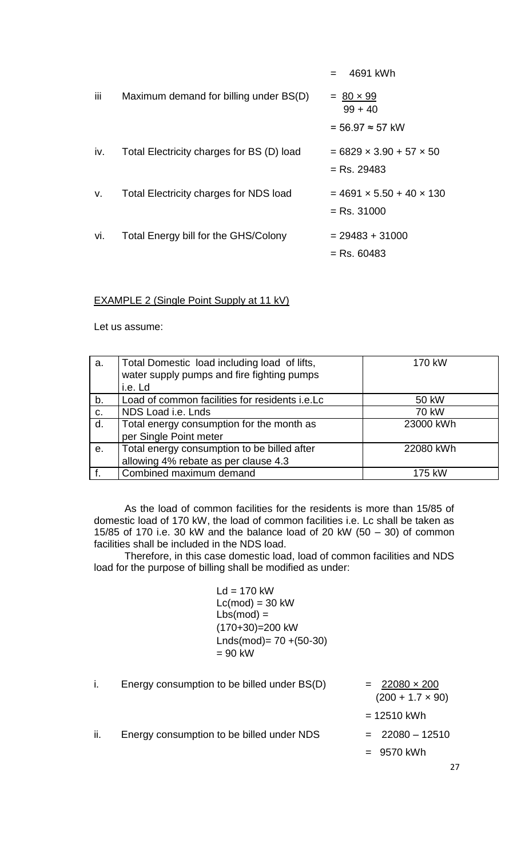|     |                                               | 4691 kWh<br>$=$                      |
|-----|-----------------------------------------------|--------------------------------------|
| iii | Maximum demand for billing under BS(D)        | $= 80 \times 99$<br>$99 + 40$        |
|     |                                               | $= 56.97 \approx 57$ kW              |
| iv. | Total Electricity charges for BS (D) load     | $= 6829 \times 3.90 + 57 \times 50$  |
|     |                                               | $=$ Rs. 29483                        |
| v.  | <b>Total Electricity charges for NDS load</b> | $= 4691 \times 5.50 + 40 \times 130$ |
|     |                                               | $=$ Rs. 31000                        |
| vi. | Total Energy bill for the GHS/Colony          | $= 29483 + 31000$                    |
|     |                                               | $=$ Rs. 60483                        |
|     |                                               |                                      |

## EXAMPLE 2 (Single Point Supply at 11 kV)

Let us assume:

| a. | Total Domestic load including load of lifts,<br>water supply pumps and fire fighting pumps<br>i.e. Ld | 170 kW    |
|----|-------------------------------------------------------------------------------------------------------|-----------|
| b. | Load of common facilities for residents i.e.Lc                                                        | 50 kW     |
| C. | NDS Load i.e. Lnds                                                                                    | 70 kW     |
| d. | Total energy consumption for the month as                                                             | 23000 kWh |
|    | per Single Point meter                                                                                |           |
| е. | Total energy consumption to be billed after                                                           | 22080 kWh |
|    | allowing 4% rebate as per clause 4.3                                                                  |           |
|    | Combined maximum demand                                                                               | 175 kW    |

As the load of common facilities for the residents is more than 15/85 of domestic load of 170 kW, the load of common facilities i.e. Lc shall be taken as 15/85 of 170 i.e. 30 kW and the balance load of 20 kW  $(50 - 30)$  of common facilities shall be included in the NDS load.

Therefore, in this case domestic load, load of common facilities and NDS load for the purpose of billing shall be modified as under:

> $Ld = 170$  kW  $Lc(mod) = 30$  kW  $Lbs(mod) =$ (170+30)=200 kW  $Lnds(mod)= 70 + (50-30)$  $= 90$  kW

i. Energy consumption to be billed under  $BS(D)$  =  $22080 \times 200$ 

 $(200 + 1.7 \times 90)$ 

 $= 12510$  kWh

- 
- = 9570 kWh

27

ii. Energy consumption to be billed under NDS  $= 22080 - 12510$